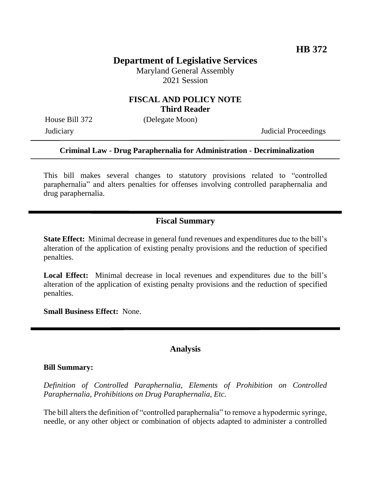# **Department of Legislative Services**

Maryland General Assembly 2021 Session

#### **FISCAL AND POLICY NOTE Third Reader**

House Bill 372 (Delegate Moon)

Judiciary Judicial Proceedings

#### **Criminal Law - Drug Paraphernalia for Administration - Decriminalization**

This bill makes several changes to statutory provisions related to "controlled paraphernalia" and alters penalties for offenses involving controlled paraphernalia and drug paraphernalia.

## **Fiscal Summary**

**State Effect:** Minimal decrease in general fund revenues and expenditures due to the bill's alteration of the application of existing penalty provisions and the reduction of specified penalties.

**Local Effect:** Minimal decrease in local revenues and expenditures due to the bill's alteration of the application of existing penalty provisions and the reduction of specified penalties.

**Small Business Effect:** None.

#### **Analysis**

#### **Bill Summary:**

*Definition of Controlled Paraphernalia, Elements of Prohibition on Controlled Paraphernalia, Prohibitions on Drug Paraphernalia, Etc.*

The bill alters the definition of "controlled paraphernalia" to remove a hypodermic syringe, needle, or any other object or combination of objects adapted to administer a controlled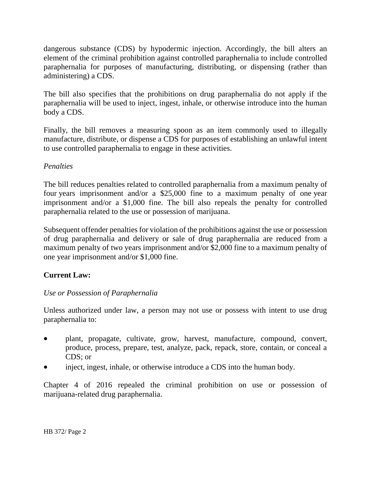dangerous substance (CDS) by hypodermic injection. Accordingly, the bill alters an element of the criminal prohibition against controlled paraphernalia to include controlled paraphernalia for purposes of manufacturing, distributing, or dispensing (rather than administering) a CDS.

The bill also specifies that the prohibitions on drug paraphernalia do not apply if the paraphernalia will be used to inject, ingest, inhale, or otherwise introduce into the human body a CDS.

Finally, the bill removes a measuring spoon as an item commonly used to illegally manufacture, distribute, or dispense a CDS for purposes of establishing an unlawful intent to use controlled paraphernalia to engage in these activities.

## *Penalties*

The bill reduces penalties related to controlled paraphernalia from a maximum penalty of four years imprisonment and/or a \$25,000 fine to a maximum penalty of one year imprisonment and/or a \$1,000 fine. The bill also repeals the penalty for controlled paraphernalia related to the use or possession of marijuana.

Subsequent offender penalties for violation of the prohibitions against the use or possession of drug paraphernalia and delivery or sale of drug paraphernalia are reduced from a maximum penalty of two years imprisonment and/or \$2,000 fine to a maximum penalty of one year imprisonment and/or \$1,000 fine.

## **Current Law:**

## *Use or Possession of Paraphernalia*

Unless authorized under law, a person may not use or possess with intent to use drug paraphernalia to:

- plant, propagate, cultivate, grow, harvest, manufacture, compound, convert, produce, process, prepare, test, analyze, pack, repack, store, contain, or conceal a CDS; or
- inject, ingest, inhale, or otherwise introduce a CDS into the human body.

Chapter 4 of 2016 repealed the criminal prohibition on use or possession of marijuana-related drug paraphernalia.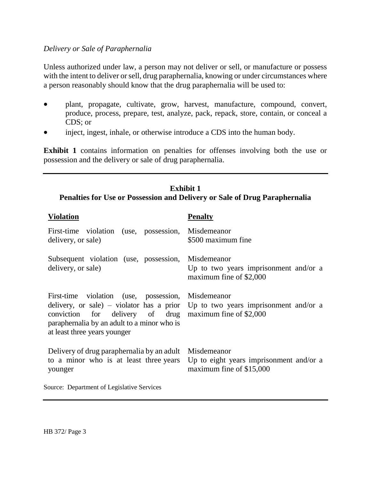#### *Delivery or Sale of Paraphernalia*

Unless authorized under law, a person may not deliver or sell, or manufacture or possess with the intent to deliver or sell, drug paraphernalia, knowing or under circumstances where a person reasonably should know that the drug paraphernalia will be used to:

- plant, propagate, cultivate, grow, harvest, manufacture, compound, convert, produce, process, prepare, test, analyze, pack, repack, store, contain, or conceal a CDS; or
- inject, ingest, inhale, or otherwise introduce a CDS into the human body.

**Exhibit 1** contains information on penalties for offenses involving both the use or possession and the delivery or sale of drug paraphernalia.

## **Exhibit 1 Penalties for Use or Possession and Delivery or Sale of Drug Paraphernalia**

| Violation                                                                                                                                                                                                                     | <b>Penalty</b>                                                                     |
|-------------------------------------------------------------------------------------------------------------------------------------------------------------------------------------------------------------------------------|------------------------------------------------------------------------------------|
| First-time violation (use, possession,<br>delivery, or sale)                                                                                                                                                                  | Misdemeanor<br>\$500 maximum fine                                                  |
| Subsequent violation (use, possession,<br>delivery, or sale)                                                                                                                                                                  | Misdemeanor<br>Up to two years imprisonment and/or a<br>maximum fine of \$2,000    |
| First-time violation (use, possession,<br>delivery, or sale) – violator has a prior<br>conviction for delivery of drug maximum fine of \$2,000<br>paraphernalia by an adult to a minor who is<br>at least three years younger | Misdemeanor<br>Up to two years imprisonment and/or a                               |
| Delivery of drug paraphernalia by an adult<br>to a minor who is at least three years<br>younger                                                                                                                               | Misdemeanor<br>Up to eight years imprisonment and/or a<br>maximum fine of \$15,000 |
| Source: Department of Legislative Services                                                                                                                                                                                    |                                                                                    |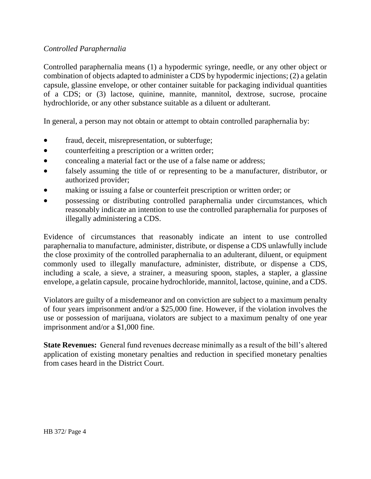## *Controlled Paraphernalia*

Controlled paraphernalia means (1) a hypodermic syringe, needle, or any other object or combination of objects adapted to administer a CDS by hypodermic injections; (2) a gelatin capsule, glassine envelope, or other container suitable for packaging individual quantities of a CDS; or (3) lactose, quinine, mannite, mannitol, dextrose, sucrose, procaine hydrochloride, or any other substance suitable as a diluent or adulterant.

In general, a person may not obtain or attempt to obtain controlled paraphernalia by:

- fraud, deceit, misrepresentation, or subterfuge;
- counterfeiting a prescription or a written order;
- concealing a material fact or the use of a false name or address;
- falsely assuming the title of or representing to be a manufacturer, distributor, or authorized provider;
- making or issuing a false or counterfeit prescription or written order; or
- possessing or distributing controlled paraphernalia under circumstances, which reasonably indicate an intention to use the controlled paraphernalia for purposes of illegally administering a CDS.

Evidence of circumstances that reasonably indicate an intent to use controlled paraphernalia to manufacture, administer, distribute, or dispense a CDS unlawfully include the close proximity of the controlled paraphernalia to an adulterant, diluent, or equipment commonly used to illegally manufacture, administer, distribute, or dispense a CDS, including a scale, a sieve, a strainer, a measuring spoon, staples, a stapler, a glassine envelope, a gelatin capsule, procaine hydrochloride, mannitol, lactose, quinine, and a CDS.

Violators are guilty of a misdemeanor and on conviction are subject to a maximum penalty of four years imprisonment and/or a \$25,000 fine. However, if the violation involves the use or possession of marijuana, violators are subject to a maximum penalty of one year imprisonment and/or a \$1,000 fine.

**State Revenues:** General fund revenues decrease minimally as a result of the bill's altered application of existing monetary penalties and reduction in specified monetary penalties from cases heard in the District Court.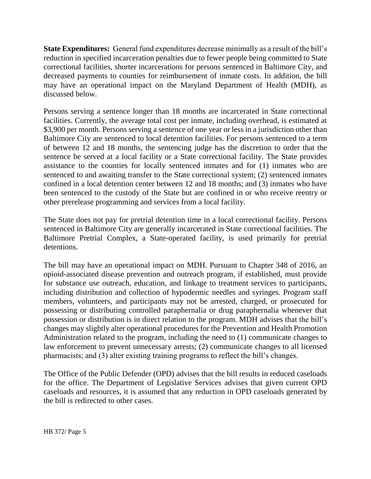**State Expenditures:** General fund expenditures decrease minimally as a result of the bill's reduction in specified incarceration penalties due to fewer people being committed to State correctional facilities, shorter incarcerations for persons sentenced in Baltimore City, and decreased payments to counties for reimbursement of inmate costs. In addition, the bill may have an operational impact on the Maryland Department of Health (MDH), as discussed below.

Persons serving a sentence longer than 18 months are incarcerated in State correctional facilities. Currently, the average total cost per inmate, including overhead, is estimated at \$3,900 per month. Persons serving a sentence of one year or less in a jurisdiction other than Baltimore City are sentenced to local detention facilities. For persons sentenced to a term of between 12 and 18 months, the sentencing judge has the discretion to order that the sentence be served at a local facility or a State correctional facility. The State provides assistance to the counties for locally sentenced inmates and for (1) inmates who are sentenced to and awaiting transfer to the State correctional system; (2) sentenced inmates confined in a local detention center between 12 and 18 months; and (3) inmates who have been sentenced to the custody of the State but are confined in or who receive reentry or other prerelease programming and services from a local facility.

The State does not pay for pretrial detention time in a local correctional facility. Persons sentenced in Baltimore City are generally incarcerated in State correctional facilities. The Baltimore Pretrial Complex, a State-operated facility, is used primarily for pretrial detentions.

The bill may have an operational impact on MDH. Pursuant to Chapter 348 of 2016, an opioid-associated disease prevention and outreach program, if established, must provide for substance use outreach, education, and linkage to treatment services to participants, including distribution and collection of hypodermic needles and syringes. Program staff members, volunteers, and participants may not be arrested, charged, or prosecuted for possessing or distributing controlled paraphernalia or drug paraphernalia whenever that possession or distribution is in direct relation to the program. MDH advises that the bill's changes may slightly alter operational procedures for the Prevention and Health Promotion Administration related to the program, including the need to (1) communicate changes to law enforcement to prevent unnecessary arrests; (2) communicate changes to all licensed pharmacists; and (3) alter existing training programs to reflect the bill's changes.

The Office of the Public Defender (OPD) advises that the bill results in reduced caseloads for the office. The Department of Legislative Services advises that given current OPD caseloads and resources, it is assumed that any reduction in OPD caseloads generated by the bill is redirected to other cases.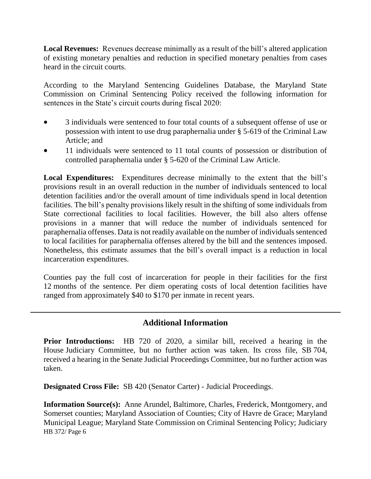**Local Revenues:** Revenues decrease minimally as a result of the bill's altered application of existing monetary penalties and reduction in specified monetary penalties from cases heard in the circuit courts.

According to the Maryland Sentencing Guidelines Database, the Maryland State Commission on Criminal Sentencing Policy received the following information for sentences in the State's circuit courts during fiscal 2020:

- 3 individuals were sentenced to four total counts of a subsequent offense of use or possession with intent to use drug paraphernalia under § 5-619 of the Criminal Law Article; and
- 11 individuals were sentenced to 11 total counts of possession or distribution of controlled paraphernalia under § 5-620 of the Criminal Law Article.

**Local Expenditures:** Expenditures decrease minimally to the extent that the bill's provisions result in an overall reduction in the number of individuals sentenced to local detention facilities and/or the overall amount of time individuals spend in local detention facilities. The bill's penalty provisions likely result in the shifting of some individuals from State correctional facilities to local facilities. However, the bill also alters offense provisions in a manner that will reduce the number of individuals sentenced for paraphernalia offenses. Data is not readily available on the number of individuals sentenced to local facilities for paraphernalia offenses altered by the bill and the sentences imposed. Nonetheless, this estimate assumes that the bill's overall impact is a reduction in local incarceration expenditures.

Counties pay the full cost of incarceration for people in their facilities for the first 12 months of the sentence. Per diem operating costs of local detention facilities have ranged from approximately \$40 to \$170 per inmate in recent years.

## **Additional Information**

**Prior Introductions:** HB 720 of 2020, a similar bill, received a hearing in the House Judiciary Committee, but no further action was taken. Its cross file, SB 704, received a hearing in the Senate Judicial Proceedings Committee, but no further action was taken.

**Designated Cross File:** SB 420 (Senator Carter) - Judicial Proceedings.

HB 372/ Page 6 **Information Source(s):** Anne Arundel, Baltimore, Charles, Frederick, Montgomery, and Somerset counties; Maryland Association of Counties; City of Havre de Grace; Maryland Municipal League; Maryland State Commission on Criminal Sentencing Policy; Judiciary